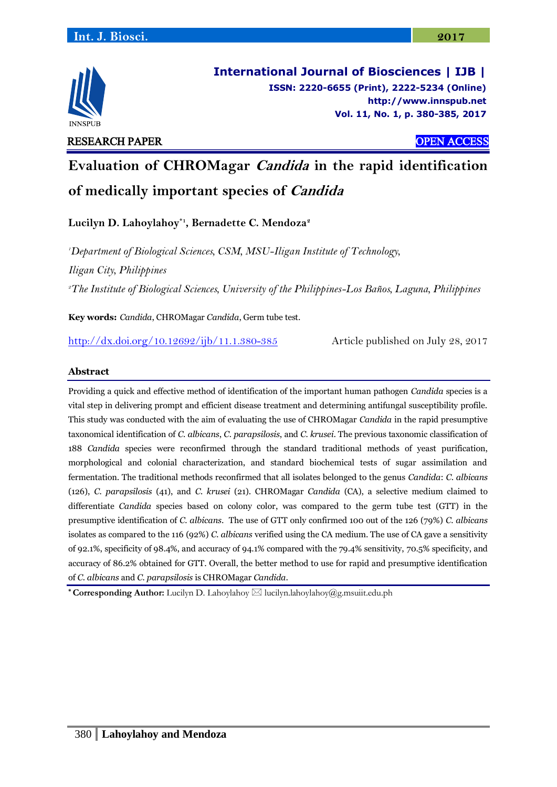

**International Journal of Biosciences | IJB | ISSN: 2220-6655 (Print), 2222-5234 (Online) [http://www.innspub.net](http://www.innspub.net/) Vol. 11, No. 1, p. 380-385, 2017**

# RESEARCH PAPER OPEN ACCESS

**Evaluation of CHROMagar Candida in the rapid identification** 

**of medically important species of Candida**

**Lucilyn D. Lahoylahoy\*1 , Bernadette C. Mendoza<sup>2</sup>**

*<sup>1</sup>Department of Biological Sciences, CSM, MSU-Iligan Institute of Technology, Iligan City, Philippines <sup>2</sup>The Institute of Biological Sciences, University of the Philippines-Los Baños, Laguna, Philippines*

**Key words:** *Candida*, CHROMagar *Candida*, Germ tube test.

<http://dx.doi.org/10.12692/ijb/11.1.380-385> Article published on July 28, 2017

## **Abstract**

Providing a quick and effective method of identification of the important human pathogen *Candida* species is a vital step in delivering prompt and efficient disease treatment and determining antifungal susceptibility profile. This study was conducted with the aim of evaluating the use of CHROMagar *Candida* in the rapid presumptive taxonomical identification of *C. albicans*, *C. parapsilosis*, and *C. krusei*. The previous taxonomic classification of 188 *Candida* species were reconfirmed through the standard traditional methods of yeast purification, morphological and colonial characterization, and standard biochemical tests of sugar assimilation and fermentation. The traditional methods reconfirmed that all isolates belonged to the genus *Candida*: *C*. *albicans*  (126), *C. parapsilosis* (41), and *C. krusei* (21). CHROMagar *Candida* (CA), a selective medium claimed to differentiate *Candida* species based on colony color, was compared to the germ tube test (GTT) in the presumptive identification of *C. albicans*. The use of GTT only confirmed 100 out of the 126 (79%) *C. albicans* isolates as compared to the 116 (92%) *C. albicans* verified using the CA medium. The use of CA gave a sensitivity of 92.1%, specificity of 98.4%, and accuracy of 94.1% compared with the 79.4% sensitivity, 70.5% specificity, and accuracy of 86.2% obtained for GTT. Overall, the better method to use for rapid and presumptive identification of *C. albicans* and *C. parapsilosis* is CHROMagar *Candida*.

**\* Corresponding Author:** Lucilyn D. Lahoylahoy lucilyn.lahoylahoy@g.msuiit.edu.ph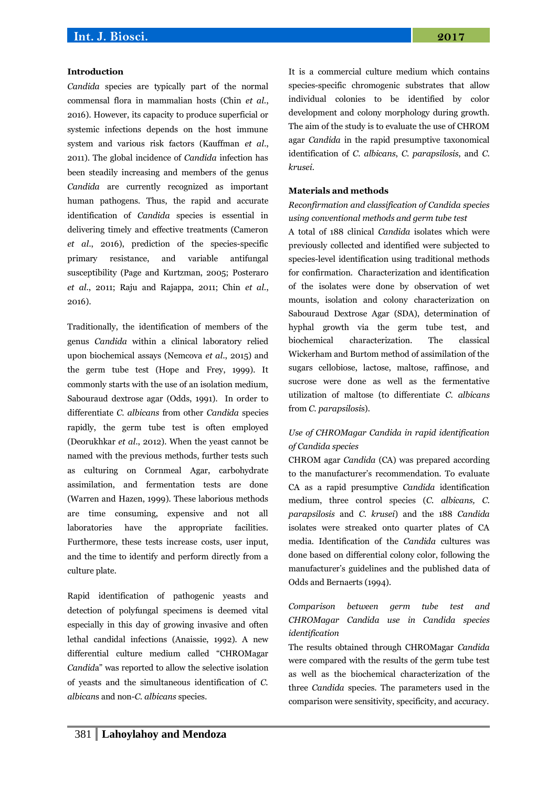### **Introduction**

*Candida* species are typically part of the normal commensal flora in mammalian hosts (Chin *et al.*, 2016). However, its capacity to produce superficial or systemic infections depends on the host immune system and various risk factors (Kauffman *et al*., 2011). The global incidence of *Candida* infection has been steadily increasing and members of the genus *Candida* are currently recognized as important human pathogens. Thus, the rapid and accurate identification of *Candida* species is essential in delivering timely and effective treatments (Cameron *et al*., 2016), prediction of the species-specific primary resistance, and variable antifungal susceptibility (Page and Kurtzman, 2005; Posteraro *et al.*, 2011; Raju and Rajappa, 2011; Chin *et al.*, 2016).

Traditionally, the identification of members of the genus *Candida* within a clinical laboratory relied upon biochemical assays (Nemcova *et al*., 2015) and the germ tube test (Hope and Frey, 1999). It commonly starts with the use of an isolation medium, Sabouraud dextrose agar (Odds, 1991). In order to differentiate *C. albicans* from other *Candida* species rapidly, the germ tube test is often employed (Deorukhkar *et al*., 2012). When the yeast cannot be named with the previous methods, further tests such as culturing on Cornmeal Agar, carbohydrate assimilation, and fermentation tests are done (Warren and Hazen, 1999). These laborious methods are time consuming, expensive and not all laboratories have the appropriate facilities. Furthermore, these tests increase costs, user input, and the time to identify and perform directly from a culture plate.

Rapid identification of pathogenic yeasts and detection of polyfungal specimens is deemed vital especially in this day of growing invasive and often lethal candidal infections (Anaissie, 1992). A new differential culture medium called "CHROMagar *Candid*a" was reported to allow the selective isolation of yeasts and the simultaneous identification of *C. albican*s and non-*C. albicans* species.

It is a commercial culture medium which contains species-specific chromogenic substrates that allow individual colonies to be identified by color development and colony morphology during growth. The aim of the study is to evaluate the use of CHROM agar *Candida* in the rapid presumptive taxonomical identification of *C. albicans*, *C. parapsilosis*, and *C. krusei*.

#### **Materials and methods**

*Reconfirmation and classification of Candida species using conventional methods and germ tube test*

A total of 188 clinical *Candida* isolates which were previously collected and identified were subjected to species-level identification using traditional methods for confirmation. Characterization and identification of the isolates were done by observation of wet mounts, isolation and colony characterization on Sabouraud Dextrose Agar (SDA), determination of hyphal growth via the germ tube test, and biochemical characterization. The classical Wickerham and Burtom method of assimilation of the sugars cellobiose, lactose, maltose, raffinose, and sucrose were done as well as the fermentative utilization of maltose (to differentiate *C. albicans*  from *C. parapsilosi*s).

## *Use of CHROMagar Candida in rapid identification of Candida species*

CHROM agar *Candida* (CA) was prepared according to the manufacturer's recommendation. To evaluate CA as a rapid presumptive *Candida* identification medium, three control species (*C. albicans, C. parapsilosis* and *C. krusei*) and the 188 *Candida*  isolates were streaked onto quarter plates of CA media. Identification of the *Candida* cultures was done based on differential colony color, following the manufacturer's guidelines and the published data of Odds and Bernaerts (1994).

# *Comparison between germ tube test and CHROMagar Candida use in Candida species identification*

The results obtained through CHROMagar *Candida* were compared with the results of the germ tube test as well as the biochemical characterization of the three *Candida* species. The parameters used in the comparison were sensitivity, specificity, and accuracy.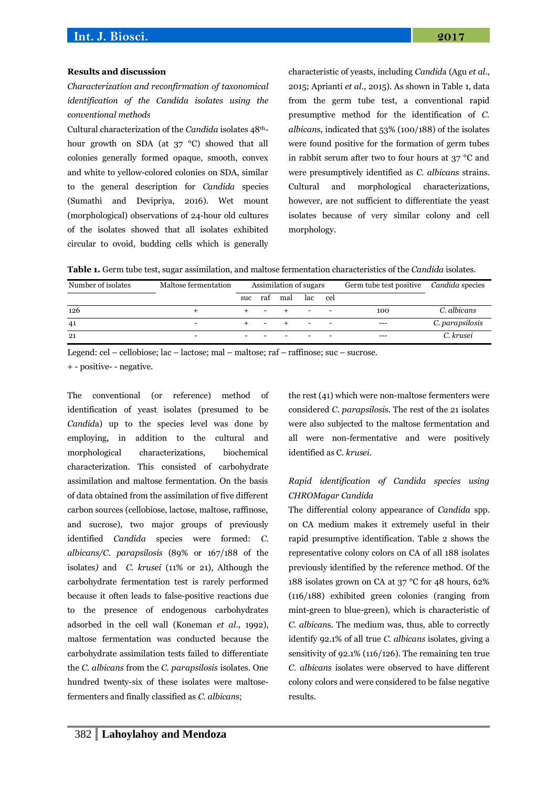# **Int. J. Biosci. 2017**

#### **Results and discussion**

*Characterization and reconfirmation of taxonomical identification of the Candida isolates using the conventional methods*

Cultural characterization of the *Candida* isolates 48thhour growth on SDA (at 37 °C) showed that all colonies generally formed opaque, smooth, convex and white to yellow-colored colonies on SDA, similar to the general description for *Candida* species (Sumathi and Devipriya, 2016). Wet mount (morphological) observations of 24-hour old cultures of the isolates showed that all isolates exhibited circular to ovoid, budding cells which is generally

characteristic of yeasts, including *Candid*a (Agu *et al.*, 2015; Aprianti *et al*., 2015). As shown in Table 1, data from the germ tube test, a conventional rapid presumptive method for the identification of *C. albican*s, indicated that 53% (100/188) of the isolates were found positive for the formation of germ tubes in rabbit serum after two to four hours at 37 °C and were presumptively identified as *C. albicans* strains. Cultural and morphological characterizations, however, are not sufficient to differentiate the yeast isolates because of very similar colony and cell morphology.

|  |  |  |  |  | <b>Table 1.</b> Germ tube test, sugar assimilation, and maltose fermentation characteristics of the <i>Candida</i> isolates. |  |
|--|--|--|--|--|------------------------------------------------------------------------------------------------------------------------------|--|
|--|--|--|--|--|------------------------------------------------------------------------------------------------------------------------------|--|

| Number of isolates | Maltose fermentation | Assimilation of sugars |     |     |      |     | Germ tube test positive | Candida species |
|--------------------|----------------------|------------------------|-----|-----|------|-----|-------------------------|-----------------|
|                    |                      | suc                    | raf | mal | lac. | cel |                         |                 |
| 126                |                      |                        |     |     |      |     | 100                     | C. albicans     |
| 41                 |                      |                        |     |     |      |     | $---$                   | C. parapsilosis |
| 21                 |                      |                        |     |     |      |     | $---$                   | C. krusei       |

Legend: cel – cellobiose; lac – lactose; mal – maltose; raf – raffinose; suc – sucrose.

+ - positive- - negative.

The conventional (or reference) method of identification of yeast isolates (presumed to be *Candid*a) up to the species level was done by employing, in addition to the cultural and morphological characterizations, biochemical characterization. This consisted of carbohydrate assimilation and maltose fermentation. On the basis of data obtained from the assimilation of five different carbon sources (cellobiose, lactose, maltose, raffinose, and sucrose), two major groups of previously identified *Candida* species were formed: *C. albicans/C. parapsilosis* (89% or 167/188 of the isolates*)* and *C. krusei* (11% or 21), Although the carbohydrate fermentation test is rarely performed because it often leads to false-positive reactions due to the presence of endogenous carbohydrates adsorbed in the cell wall (Koneman *et al.,* 1992), maltose fermentation was conducted because the carbohydrate assimilation tests failed to differentiate the *C. albicans* from the *C. parapsilosis* isolates. One hundred twenty-six of these isolates were maltosefermenters and finally classified as *C. albican*s;

the rest (41) which were non-maltose fermenters were considered *C. parapsilosi*s. The rest of the 21 isolates were also subjected to the maltose fermentation and all were non-fermentative and were positively identified as C. *krusei*.

# *Rapid identification of Candida species using CHROMagar Candida*

The differential colony appearance of *Candida* spp. on CA medium makes it extremely useful in their rapid presumptive identification. Table 2 shows the representative colony colors on CA of all 188 isolates previously identified by the reference method. Of the 188 isolates grown on CA at 37 °C for 48 hours, 62% (116/188) exhibited green colonies (ranging from mint-green to blue-green), which is characteristic of *C. albican*s. The medium was, thus, able to correctly identify 92.1% of all true *C. albicans* isolates, giving a sensitivity of 92.1% (116/126). The remaining ten true *C. albicans* isolates were observed to have different colony colors and were considered to be false negative results.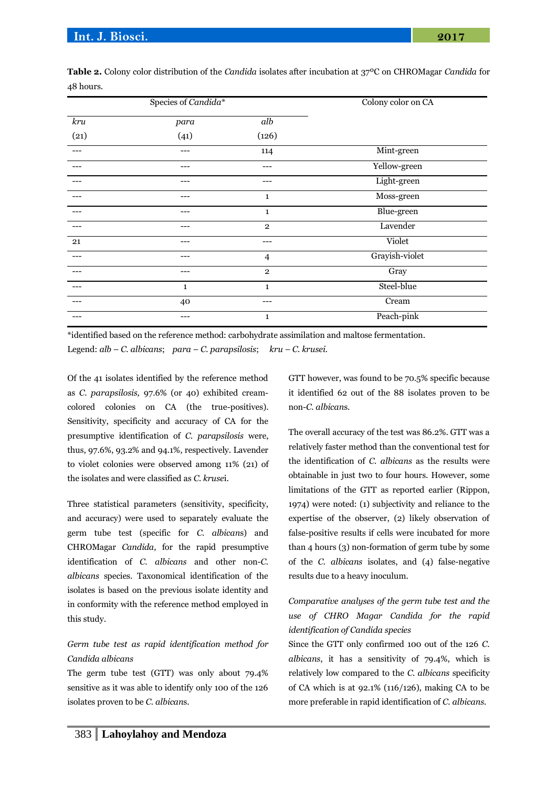|      | Species of Candida* | Colony color on CA |                |
|------|---------------------|--------------------|----------------|
| kru  | para                | $\overline{alb}$   |                |
| (21) | (41)                | (126)              |                |
|      | ---                 | 114                | Mint-green     |
|      |                     | ---                | Yellow-green   |
|      | ---                 | ---                | Light-green    |
|      |                     | $\mathbf{1}$       | Moss-green     |
|      | ---                 | $\mathbf{1}$       | Blue-green     |
|      |                     | $\overline{2}$     | Lavender       |
| 21   | ---                 | ---                | Violet         |
|      |                     | $\overline{4}$     | Grayish-violet |
|      | ---                 | $\overline{2}$     | Gray           |
|      | $\mathbf{1}$        | $\mathbf{1}$       | Steel-blue     |
|      | 40                  |                    | Cream          |
|      |                     | $\mathbf{1}$       | Peach-pink     |

**Table 2.** Colony color distribution of the *Candida* isolates after incubation at 37ºC on CHROMagar *Candida* for 48 hours.

\*identified based on the reference method: carbohydrate assimilation and maltose fermentation.

Legend: *alb* – *C. albicans*; *para* – *C. parapsilosis*; *kru – C. krusei.*

Of the 41 isolates identified by the reference method as *C. parapsilosis,* 97.6% (or 40) exhibited creamcolored colonies on CA (the true-positives). Sensitivity, specificity and accuracy of CA for the presumptive identification of *C. parapsilosis* were, thus, 97.6%, 93.2% and 94.1%, respectively. Lavender to violet colonies were observed among 11% (21) of the isolates and were classified as *C. kruse*i.

Three statistical parameters (sensitivity, specificity, and accuracy) were used to separately evaluate the germ tube test (specific for *C. albican*s) and CHROMagar *Candida,* for the rapid presumptive identification of *C. albicans* and other non-*C. albicans* species. Taxonomical identification of the isolates is based on the previous isolate identity and in conformity with the reference method employed in this study.

# *Germ tube test as rapid identification method for Candida albicans*

The germ tube test (GTT) was only about 79.4% sensitive as it was able to identify only 100 of the 126 isolates proven to be *C. albican*s.

GTT however, was found to be 70.5% specific because it identified 62 out of the 88 isolates proven to be non-*C. albican*s.

The overall accuracy of the test was 86.2%. GTT was a relatively faster method than the conventional test for the identification of *C. albicans* as the results were obtainable in just two to four hours. However, some limitations of the GTT as reported earlier (Rippon, 1974) were noted: (1) subjectivity and reliance to the expertise of the observer, (2) likely observation of false-positive results if cells were incubated for more than 4 hours (3) non-formation of germ tube by some of the *C. albicans* isolates, and (4) false-negative results due to a heavy inoculum.

# *Comparative analyses of the germ tube test and the use of CHRO Magar Candida for the rapid identification of Candida species*

Since the GTT only confirmed 100 out of the 126 *C*. *albicans*, it has a sensitivity of 79.4%, which is relatively low compared to the *C. albicans* specificity of CA which is at  $92.1\%$  (116/126), making CA to be more preferable in rapid identification of *C. albicans.*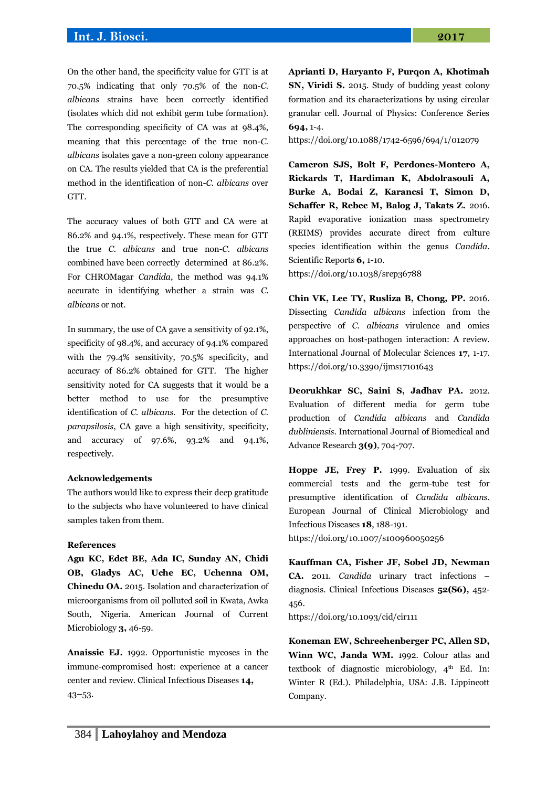## **Int. J. Biosci. 2017**

On the other hand, the specificity value for GTT is at 70.5% indicating that only 70.5% of the non-*C. albicans* strains have been correctly identified (isolates which did not exhibit germ tube formation). The corresponding specificity of CA was at 98.4%, meaning that this percentage of the true non-*C. albicans* isolates gave a non-green colony appearance on CA. The results yielded that CA is the preferential method in the identification of non-*C. albicans* over GTT.

The accuracy values of both GTT and CA were at 86.2% and 94.1%, respectively. These mean for GTT the true *C. albicans* and true non-*C. albicans* combined have been correctly determined at 86.2%. For CHROMagar *Candida*, the method was 94.1% accurate in identifying whether a strain was *C. albicans* or not.

In summary, the use of CA gave a sensitivity of 92.1%, specificity of 98.4%, and accuracy of 94.1% compared with the 79.4% sensitivity, 70.5% specificity, and accuracy of 86.2% obtained for GTT. The higher sensitivity noted for CA suggests that it would be a better method to use for the presumptive identification of *C. albicans*. For the detection of *C. parapsilosis*, CA gave a high sensitivity, specificity, and accuracy of 97.6%, 93.2% and 94.1%, respectively.

#### **Acknowledgements**

The authors would like to express their deep gratitude to the subjects who have volunteered to have clinical samples taken from them.

#### **References**

**Agu KC, Edet BE, Ada IC, Sunday AN, Chidi OB, Gladys AC, Uche EC, Uchenna OM, Chinedu OA.** 2015*.* Isolation and characterization of microorganisms from oil polluted soil in Kwata, Awka South, Nigeria. American Journal of Current Microbiology **3,** 46-59.

**Anaissie EJ.** 1992. Opportunistic mycoses in the immune-compromised host: experience at a cancer center and review. Clinical Infectious Diseases **14,**  43–53.

**Aprianti D, Haryanto F, Purqon A, Khotimah SN, Viridi S.** 2015. Study of budding yeast colony formation and its characterizations by using circular granular cell. Journal of Physics: Conference Series **694,** 1-4.

<https://doi.org/10.1088/1742-6596/694/1/012079>

**Cameron SJS, Bolt F, Perdones-Montero A, Rickards T, Hardiman K, Abdolrasouli A, Burke A, Bodai Z, Karancsi T, Simon D, Schaffer R, Rebec M, Balog J, Takats Z.** 2016. Rapid evaporative ionization mass spectrometry (REIMS) provides accurate direct from culture species identification within the genus *Candida*. Scientific Reports **6,** 1-10.

<https://doi.org/10.1038/srep36788>

**Chin VK, Lee TY, Rusliza B, Chong, PP.** 2016. Dissecting *Candida albicans* infection from the perspective of *C. albicans* virulence and omics approaches on host-pathogen interaction: A review. International Journal of Molecular Sciences **17**, 1-17. <https://doi.org/10.3390/ijms17101643>

**Deorukhkar SC, Saini S, Jadhav PA.** 2012. Evaluation of different media for germ tube production of *Candida albicans* and *Candida dubliniensis*. International Journal of Biomedical and Advance Research **3(9)**, 704-707.

**Hoppe JE, Frey P.** 1999. Evaluation of six commercial tests and the germ-tube test for presumptive identification of *Candida albicans*. European Journal of Clinical Microbiology and Infectious Diseases **18**, 188-191.

<https://doi.org/10.1007/s100960050256>

**Kauffman CA, Fisher JF, Sobel JD, Newman CA.** 2011. *Candida* urinary tract infections – diagnosis. Clinical Infectious Diseases **52(S6),** 452- 456.

<https://doi.org/10.1093/cid/cir111>

**Koneman EW, Schreehenberger PC, Allen SD, Winn WC, Janda WM.** 1992. Colour atlas and textbook of diagnostic microbiology, 4<sup>th</sup> Ed. In: Winter R (Ed.). Philadelphia, USA: J.B. Lippincott Company.